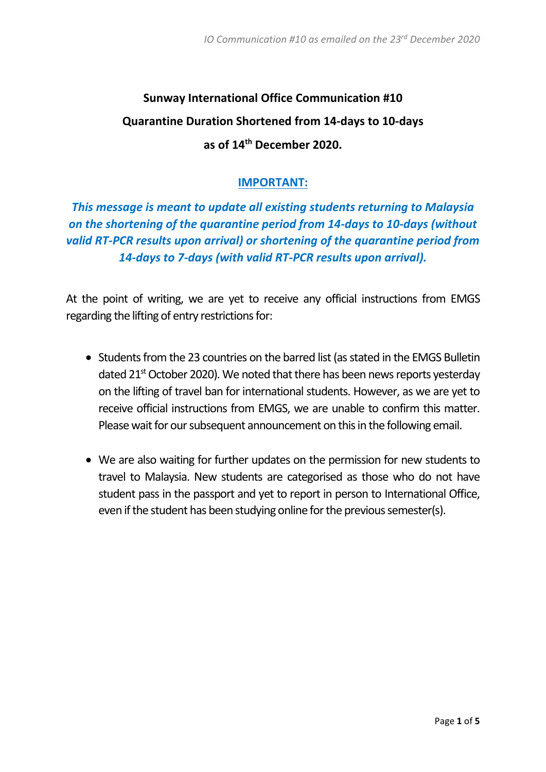# **Sunway International Office Communication #10 Quarantine Duration Shortened from 14-days to 10-days as of 14th December 2020.**

## **IMPORTANT:**

*This message is meant to update all existing students returning to Malaysia on the shortening of the quarantine period from 14-days to 10-days (without valid RT-PCR results upon arrival) or shortening of the quarantine period from 14-days to 7-days (with valid RT-PCR results upon arrival).*

At the point of writing, we are yet to receive any official instructions from EMGS regarding the lifting of entry restrictions for:

- Students from the 23 countries on the barred list (as stated in the EMGS Bulletin dated  $21<sup>st</sup>$  October 2020). We noted that there has been news reports yesterday on the lifting of travel ban for international students. However, as we are yet to receive official instructions from EMGS, we are unable to confirm this matter. Please wait for our subsequent announcement on this in the following email.
- We are also waiting for further updates on the permission for new students to travel to Malaysia. New students are categorised as those who do not have student pass in the passport and yet to report in person to International Office, even if the student has been studying online for the previous semester(s).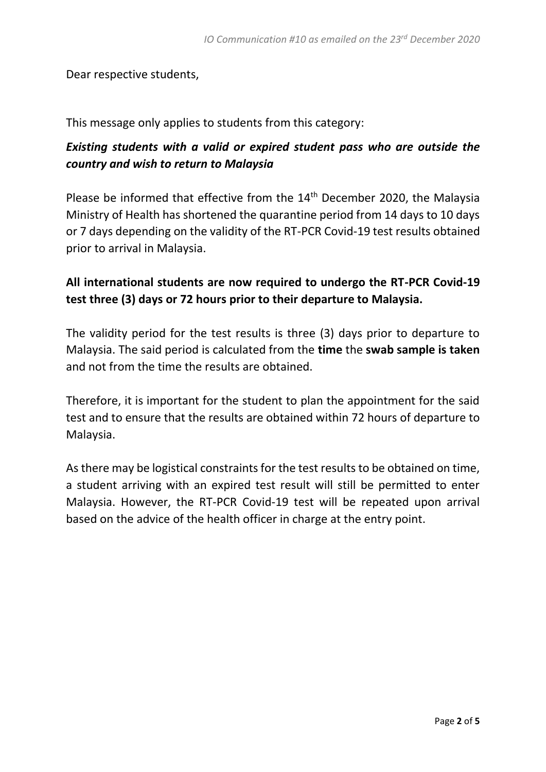Dear respective students,

This message only applies to students from this category:

# *Existing students with a valid or expired student pass who are outside the country and wish to return to Malaysia*

Please be informed that effective from the 14<sup>th</sup> December 2020, the Malaysia Ministry of Health has shortened the quarantine period from 14 days to 10 days or 7 days depending on the validity of the RT-PCR Covid-19 test results obtained prior to arrival in Malaysia.

# **All international students are now required to undergo the RT-PCR Covid-19 test three (3) days or 72 hours prior to their departure to Malaysia.**

The validity period for the test results is three (3) days prior to departure to Malaysia. The said period is calculated from the **time** the **swab sample is taken** and not from the time the results are obtained.

Therefore, it is important for the student to plan the appointment for the said test and to ensure that the results are obtained within 72 hours of departure to Malaysia.

As there may be logistical constraints for the test results to be obtained on time, a student arriving with an expired test result will still be permitted to enter Malaysia. However, the RT-PCR Covid-19 test will be repeated upon arrival based on the advice of the health officer in charge at the entry point.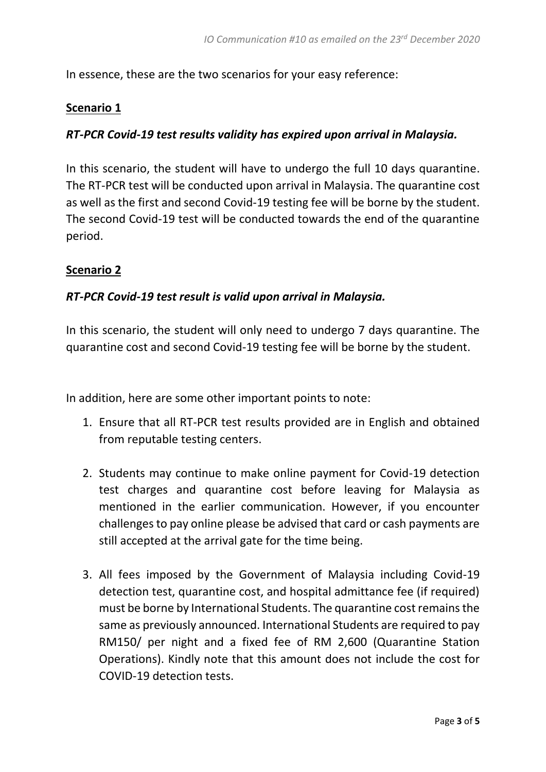In essence, these are the two scenarios for your easy reference:

#### **Scenario 1**

#### *RT-PCR Covid-19 test results validity has expired upon arrival in Malaysia.*

In this scenario, the student will have to undergo the full 10 days quarantine. The RT-PCR test will be conducted upon arrival in Malaysia. The quarantine cost as well as the first and second Covid-19 testing fee will be borne by the student. The second Covid-19 test will be conducted towards the end of the quarantine period.

#### **Scenario 2**

## *RT-PCR Covid-19 test result is valid upon arrival in Malaysia.*

In this scenario, the student will only need to undergo 7 days quarantine. The quarantine cost and second Covid-19 testing fee will be borne by the student.

In addition, here are some other important points to note:

- 1. Ensure that all RT-PCR test results provided are in English and obtained from reputable testing centers.
- 2. Students may continue to make online payment for Covid-19 detection test charges and quarantine cost before leaving for Malaysia as mentioned in the earlier communication. However, if you encounter challenges to pay online please be advised that card or cash payments are still accepted at the arrival gate for the time being.
- 3. All fees imposed by the Government of Malaysia including Covid-19 detection test, quarantine cost, and hospital admittance fee (if required) must be borne by International Students. The quarantine cost remains the same as previously announced. International Students are required to pay RM150/ per night and a fixed fee of RM 2,600 (Quarantine Station Operations). Kindly note that this amount does not include the cost for COVID-19 detection tests.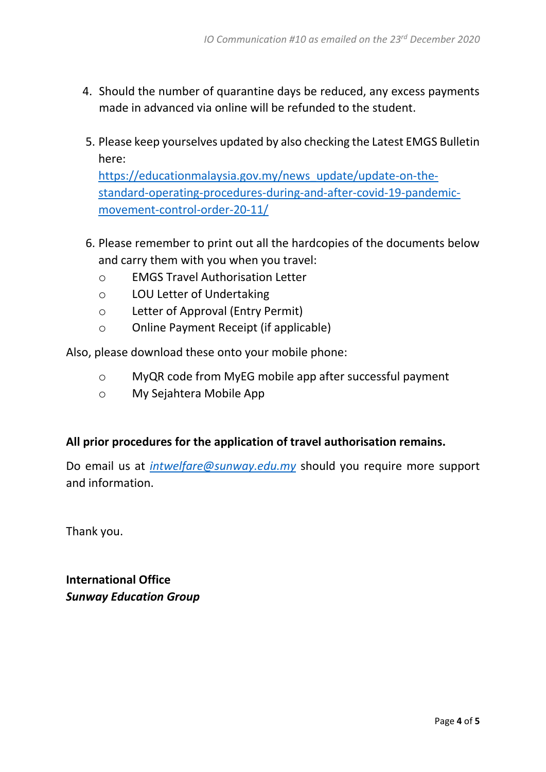- 4. Should the number of quarantine days be reduced, any excess payments made in advanced via online will be refunded to the student.
- 5. Please keep yourselves updated by also checking the Latest EMGS Bulletin here:

[https://educationmalaysia.gov.my/news\\_update/update-on-the](https://educationmalaysia.gov.my/news_update/update-on-the-standard-operating-procedures-during-and-after-covid-19-pandemic-movement-control-order-20-11/)[standard-operating-procedures-during-and-after-covid-19-pandemic](https://educationmalaysia.gov.my/news_update/update-on-the-standard-operating-procedures-during-and-after-covid-19-pandemic-movement-control-order-20-11/)[movement-control-order-20-11/](https://educationmalaysia.gov.my/news_update/update-on-the-standard-operating-procedures-during-and-after-covid-19-pandemic-movement-control-order-20-11/)

- 6. Please remember to print out all the hardcopies of the documents below and carry them with you when you travel:
	- o EMGS Travel Authorisation Letter
	- o LOU Letter of Undertaking
	- o Letter of Approval (Entry Permit)
	- o Online Payment Receipt (if applicable)

Also, please download these onto your mobile phone:

- o MyQR code from MyEG mobile app after successful payment
- o My Sejahtera Mobile App

## **All prior procedures for the application of travel authorisation remains.**

Do email us at *[intwelfare@sunway.edu.my](mailto:intwelfare@sunway.edu.my)* should you require more support and information.

Thank you.

**International Office** *Sunway Education Group*